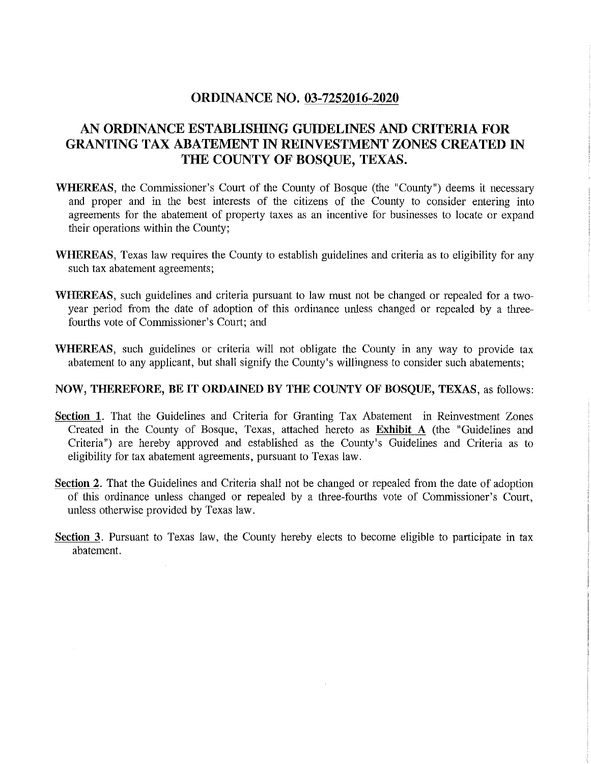## **ORDINANCE NO. 03-7252016-2020**

## **AN ORDINANCE ESTABLISHING GUIDELINES AND CRITERIA FOR GRANTING TAX ABATEMENT IN REINVESTMENT ZONES CREATED IN THE COUNTY OF BOSQUE, TEXAS.**

- **WHEREAS,** the Commissioner's Court of the County of Bosque (the "County") deems it necessary and proper and in the best interests of the citizens of the County to consider entering into agreements for the abatement of property taxes as an incentive for businesses to locate or expand their operations within the County;
- **WHEREAS,** Texas law requires the County to establish guidelines and criteria as to eligibility for any such tax abatement agreements;
- **WHEREAS,** such guidelines and criteria pursuant to law must not be changed or repealed for a twoyear period from the date of adoption of this ordinance unless changed or repealed by a threefourths vote of Commissioner's Court; and
- **WHEREAS,** such guidelines or criteria will not obligate the County in any way to provide tax abatement to any applicant, but shall signify the County's willingness to consider such abatements;

#### **NOW, THEREFORE, BE IT ORDAINED BY THE COUNTY OF BOSQUE, TEXAS,** as follows:

- **Section 1.** That the Guidelines and Criteria for Granting Tax Abatement in Reinvestment Zones Created in the County of Bosque, Texas, attached hereto as **Exhibit A** (the "Guidelines and Criteria") are hereby approved and established as the County's Guidelines and Criteria as to eligibility for tax abatement agreements, pursuant to Texas law.
- **Section 2.** That the Guidelines and Criteria shall not be changed or repealed from the date of adoption of this ordinance unless changed or repealed by a three-fourths vote of Commissioner's Court, unless otherwise provided by Texas law.
- **Section** 3. Pursuant to Texas law, the County hereby elects to become eligible to participate in tax abatement.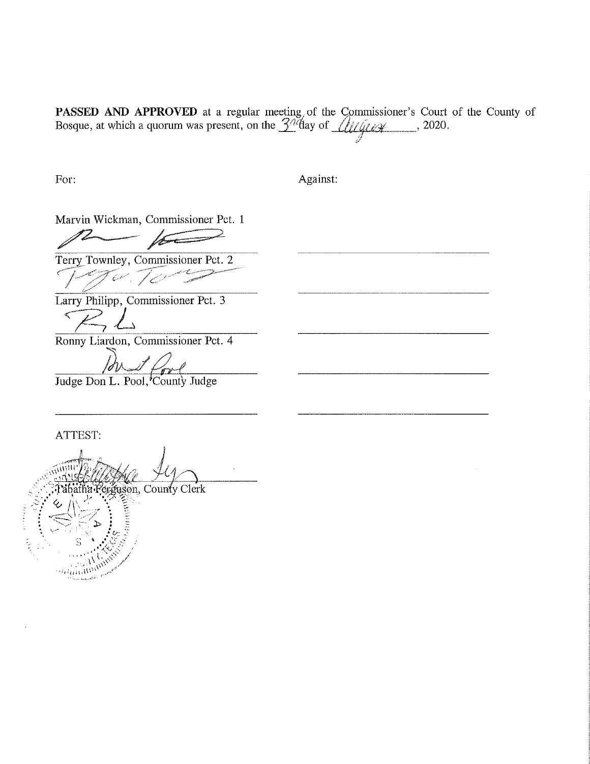PASSED AND APPROVED at a regular meeting, of the Commissioner's Court of the County of Bosque, at which a quorum was present, on the  $\frac{3}{8}$ day of  $\frac{1}{16}$ 

For:

Against:

Marvin Wickman, Commissioner Pct. 1

 $\mu$   $\mu$ 

Terry Townley, Commissioner Pct. 2  $\mathcal{T}_{\mathcal{C}'}$  .  $\mathcal{T}_{\mathcal{C}'}$ 

Larry Philipp, Commissioner Pct. 3  $ZL$ 

Ronny Liardon, Commissioner Pct. 4

Judge Don L. Pool, County Judge

ATTEST:

ia Ferguson, County Clerk **Accessing** And Marie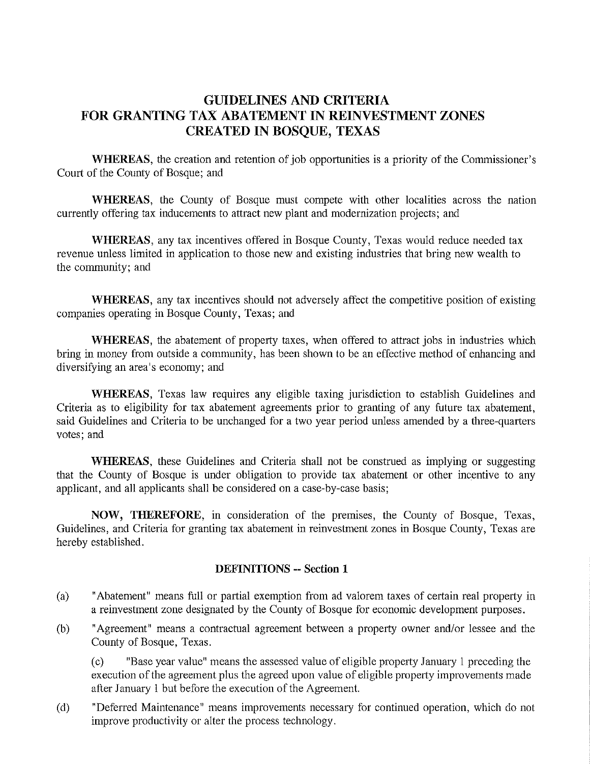## **GUIDELINES AND CRITERIA FOR GRANTING TAX ABATEMENT IN REINVESTMENT ZONES CREATEDINBOSQUE,TEXAS**

**WHEREAS,** the creation and retention of job opportunities is a priority of the Commissioner's Court of the County of Bosque; and

**WHEREAS,** the County of Bosque must compete with other localities across the nation currently offering tax inducements to attract new plant and modernization projects; and

**WHEREAS,** any tax incentives offered in Bosque County, Texas would reduce needed tax revenue unless limited in application to those new and existing industries that bring new wealth to the community; and

**WHEREAS,** any tax incentives should not adversely affect the competitive position of existing companies operating in Bosque County, Texas; and

**WHEREAS,** the abatement of property taxes, when offered to attract jobs in industries which bring in money from outside a community, has been shown to be an effective method of enhancing and diversifying an area's economy; and

**WHEREAS,** Texas law requires any eligible taxing jurisdiction to establish Guidelines and Criteria as to eligibility for tax abatement agreements prior to granting of any future tax abatement, said Guidelines and Criteria to be unchanged for a two year period unless amended by a three-quarters votes; and

**WHEREAS,** these Guidelines and Criteria shall not be construed as implying or suggesting that the County of Bosque is under obligation to provide tax abatement or other incentive to any applicant, and all applicants shall be considered on a case-by-case basis;

**NOW, THEREFORE,** in consideration of the premises, the County of Bosque, Texas, Guidelines, and Criteria for granting tax abatement in reinvestment zones in Bosque County, Texas are hereby established.

## **DEFINITIONS -- Section 1**

- (a) "Abatement" means full or partial exemption from ad valorem taxes of certain real property in a reinvestment zone designated by the County of Bosque for economic development purposes.
- (b) "Agreement" means a contractual agreement between a property owner and/or lessee and the County of Bosque, Texas.

(c) "Base year value" means the assessed value of eligible property January 1 preceding the execution of the agreement plus the agreed upon value of eligible property improvements made after January 1 but before the execution of the Agreement.

(d) "Deferred Maintenance" means improvements necessary for continued operation, which do not improve productivity or alter the process technology.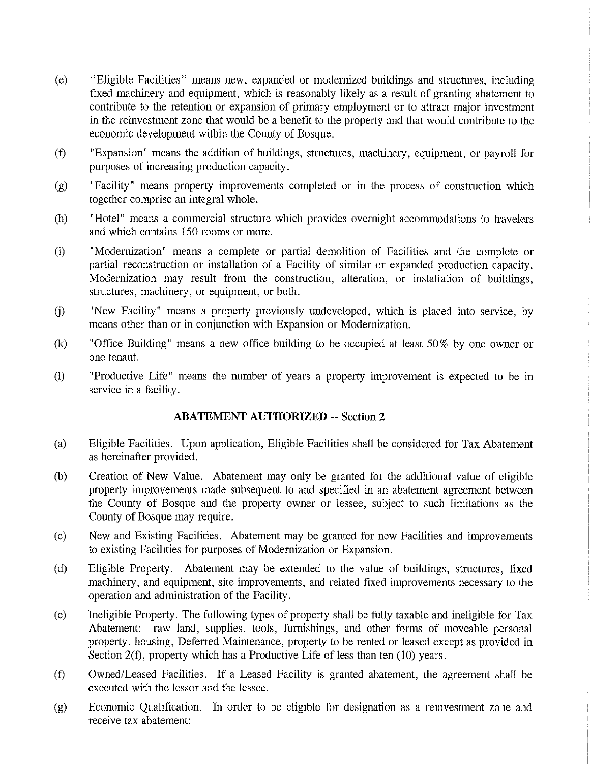- (e) "Eligible Facilities" means new, expanded or modernized buildings and structures, including fixed machinery and equipment, which is reasonably likely as a result of granting abatement to contribute to the retention or expansion of primary employment or to attract major investment in the reinvestment zone that would be a benefit to the property and that would contribute to the economic development within the County of Bosque.
- (f) "Expansion" means the addition of buildings, structures, machinery, equipment, or payroll for purposes of increasing production capacity.
- (g) "Facility" means property improvements completed or in the process of construction which together comprise an integral whole.
- (h) "Hotel" means a commercial structure which provides overnight accommodations to travelers and which contains 150 rooms or more.
- (i) "Modernization" means a complete or partial demolition of Facilities and the complete or partial reconstruction or installation of a Facility of similar or expanded production capacity. Modernization may result from the construction, alteration, or installation of buildings, structures, machinery, or equipment, or both.
- (j) "New Facility" means a property previously undeveloped, which is placed into service, by means other than or in conjunction with Expansion or Modernization.
- (k) "Office Building" means a new office building to be occupied at least 50% by one owner or one tenant.
- (I) "Productive Life" means the number of years a property improvement is expected to be in service in a facility.

## **ABATEMENT AUTHORIZED -- Section 2**

- (a) Eligible Facilities. Upon application, Eligible Facilities shall be considered for Tax Abatement as hereinafter provided.
- (b) Creation of New Value. Abatement may only be granted for the additional value of eligible propetty improvements made subsequent to and specified in an abatement agreement between the County of Bosque and the property owner or lessee, subject to such limitations as the County of Bosque may require.
- (c) New and Existing Facilities. Abatement may be granted for new Facilities and improvements to existing Facilities for purposes of Modernization or Expansion.
- (d) Eligible Property. Abatement may be extended to the value of buildings, structures, fixed machinety, and equipment, site improvements, and related fixed improvements necessary to the operation and administration of the Facility.
- (e) Ineligible Property. The following types of property shall be fully taxable and ineligible for Tax Abatement: raw land, supplies, tools, furnishings, and other forms of moveable personal property, housing, Deferred Maintenance, property to be rented or leased except as provided in Section 2(f), property which has a Productive Life of less than ten (10) years.
- (f) Owned/Leased Facilities. If a Leased Facility is granted abatement, the agreement shall be executed with the lessor and the lessee.
- (g) Economic Qualification. In order to be eligible for designation as a reinvestment zone and receive tax abatement: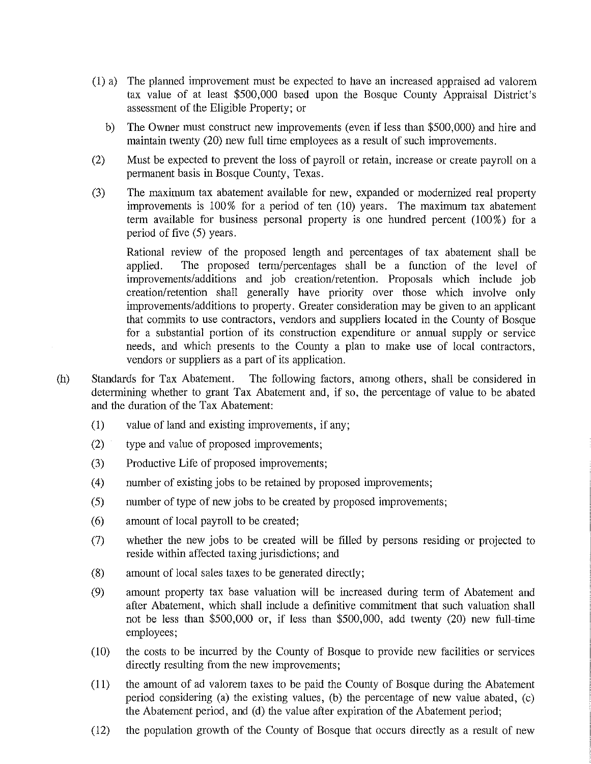- (1) a) The planned improvement must be expected to have an increased appraised ad valorem tax value of at least \$500, 000 based upon the Bosque County Appraisal District's assessment of the Eligible Property; or
	- b) The Owner must construct new improvements (even if less than \$500, 000) and hire and maintain twenty (20) new full time employees as a result of such improvements.
- (2) Must be expected to prevent the loss of payroll or retain, increase or create payroll on a permanent basis in Bosque County, Texas.
- (3) The maximum tax abatement available for new, expanded or modernized real property improvements is 100% for a period of ten (10) years. The maximum tax abatement term available for business personal property is one hundred percent  $(100\%)$  for a period of five (5) years.

Rational review of the proposed length and percentages of tax abatement shall be applied. The proposed term/percentages shall be a function of the level of improvements/additions and job creation/retention. Proposals which include job creation/retention shall generally have priority over those which involve only improvements/additions to property. Greater consideration may be given to an applicant that commits to use contractors, vendors and suppliers located in the County of Bosque for a substantial portion of its construction expenditure or annual supply or service needs, and which presents to the County a plan to make use of local contractors, vendors or suppliers as a part of its application.

- (h) Standards for Tax Abatement. The following factors, among others, shall be considered in determining whether to grant Tax Abatement and, if so, the percentage of value to be abated and the duration of the Tax Abatement:
	- (1) value of land and existing improvements, if any;
	- (2) type and value of proposed improvements;
	- (3) Productive Life of proposed improvements;
	- (4) number of existing jobs to be retained by proposed improvements;
	- (5) number of type of new jobs to be created by proposed improvements;
	- (6) amount of local payroll to be created;
	- (7) whether the new jobs to be created will be filled by persons residing or projected to reside within affected taxing jurisdictions; and
	- (8) amount of local sales taxes to be generated directly;
	- (9) amount property tax base valuation will be increased during term of Abatement and after Abatement, which shall include a definitive commitment that such valuation shall not be less than \$500,000 or, if less than \$500,000, add twenty (20) new full-time employees;
	- ( 10) the costs to be incurred by the County of Bosque to provide new facilities or services directly resulting from the new improvements;
	- (11) the amount of ad valorem taxes to be paid the County of Bosque during the Abatement period considering (a) the existing values, (b) the percentage of new value abated, (c) the Abatement period, and (d) the value after expiration of the Abatement period;
	- (12) the population growth of the County of Bosque that occurs directly as a result of new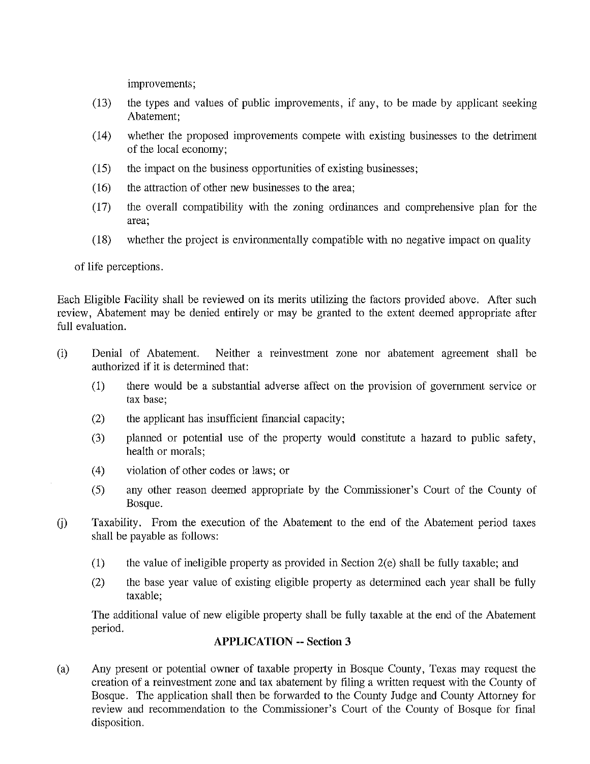improvements;

- (13) the types and values of public improvements, if any, to be made by applicant seeking Abatement;
- ( 14) whether the proposed improvements compete with existing businesses to the detriment of the local economy;
- ( 15) the impact on the business opportunities of existing businesses;
- (16) the attraction of other new businesses to the area;
- (17) the overall compatibility with the zoning ordinances and comprehensive plan for the **area;**
- ( 18) whether the project is environmentally compatible with no negative impact on quality

of life perceptions.

Each Eligible Facility shall be reviewed on its merits utilizing the factors provided above. After such review, Abatement may be denied entirely or may be granted to the extent deemed appropriate after full evaluation.

- (i) Denial of Abatement. Neither a reinvestment zone nor abatement agreement shall be authorized if it is determined that:
	- (1) there would be a substantial adverse affect on the provision of government service or tax base;
	- (2) the applicant has insufficient financial capacity;
	- (3) planned or potential use of the property would constitute a hazard to public safety, health or morals;
	- (4) violation of other codes or laws; or
	- (5) any other reason deemed appropriate by the Commissioner's Court of the County of Bosque.
- U) Taxability. From the execution of the Abatement to the end of the Abatement period taxes shall be payable as follows:
	- (1) the value of ineligible property as provided in Section 2(e) shall be fully taxable; and
	- (2) the base year value of existing eligible property as determined each year shall be fully taxable;

The additional value of new eligible property shall be fully taxable at the end of the Abatement period.

## **APPLICATION -- Section 3**

(a) Any present or potential owner of taxable property in Bosque County, Texas may request the creation of a reinvestment zone and tax abatement by filing a written request with the County of Bosque. The application shall then be forwarded to the County Judge and County Attorney for review and recommendation to the Commissioner's Court of the County of Bosque for final disposition.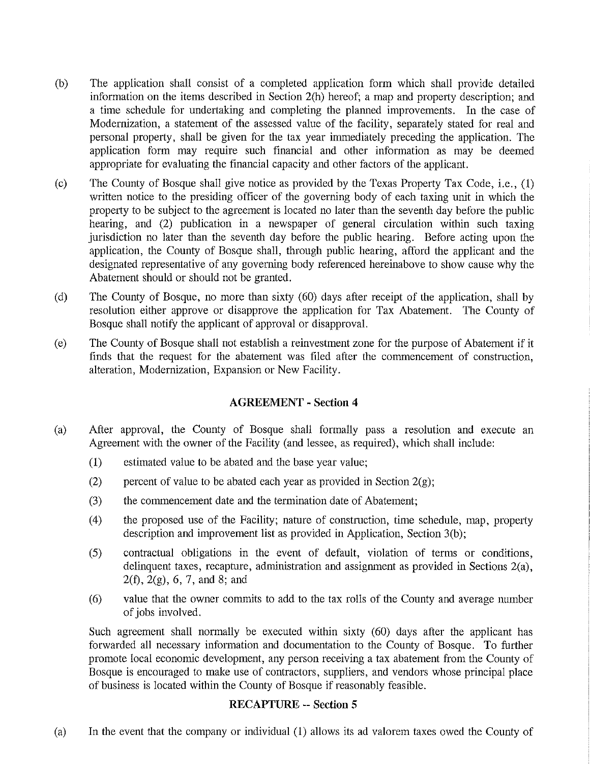- (b) The application shall consist of a completed application form which shall provide detailed information on the items described in Section 2(h) hereof; a map and property description; and a time schedule for undertaking and completing the planned improvements. In the case of Modernization, a statement of the assessed value of the facility, separately stated for real and personal property, shall be given for the tax year immediately preceding the application. The application form may require such financial and other information as may be deemed appropriate for evaluating the financial capacity and other factors of the applicant.
- (c) The County of Bosque shall give notice as provided by the Texas Property Tax Code, i.e., (1) written notice to the presiding officer of the governing body of each taxing unit in which the property to be subject to the agreement is located no later than the seventh day before the public hearing, and (2) publication in a newspaper of general circulation within such taxing jurisdiction no later than the seventh day before the public hearing. Before acting upon the application, the County of Bosque shall, through public hearing, afford the applicant and the designated representative of any governing body referenced hereinabove to show cause why the Abatement should or should not be granted.
- (d) The County of Bosque, no more than sixty (60) days after receipt of the application, shall by resolution either approve or disapprove the application for Tax Abatement. The County of Bosque shall notify the applicant of approval or disapproval.
- (e) The County of Bosque shall not establish a reinvestment zone for the purpose of Abatement if it finds that the request for the abatement was filed after the commencement of construction, alteration, Modernization, Expansion or New Facility.

## **AGREEMENT - Section 4**

- (a) After approval, the County of Bosque shall formally pass a resolution and execute an Agreement with the owner of the Facility (and lessee, as required), which shall include:
	- ( 1) estimated value to be abated and the base year value;
	- (2) percent of value to be abated each year as provided in Section  $2(g)$ ;
	- (3) the commencement date and the termination date of Abatement;
	- (4) the proposed use of the Facility; nature of construction, time schedule, map, property description and improvement list as provided in Application, Section 3(b);
	- (5) contractual obligations in the event of default, violation of terms or conditions, delinquent taxes, recapture, administration and assignment as provided in Sections 2(a), 2(f), 2(g), 6, 7, and 8; and
	- ( 6) value that the owner commits to add to the tax rolls of the County and average number of jobs involved.

Such agreement shall normally be executed within sixty (60) days after the applicant has forwarded all necessary information and documentation to the County of Bosque. To further promote local economic development, any person receiving a tax abatement from the County of Bosque is encouraged to make use of contractors, suppliers, and vendors whose principal place of business is located within the County of Bosque if reasonably feasible.

## **RECAPTURE -- Section 5**

(a) In the event that the company or individual (1) allows its ad valorem taxes owed the County of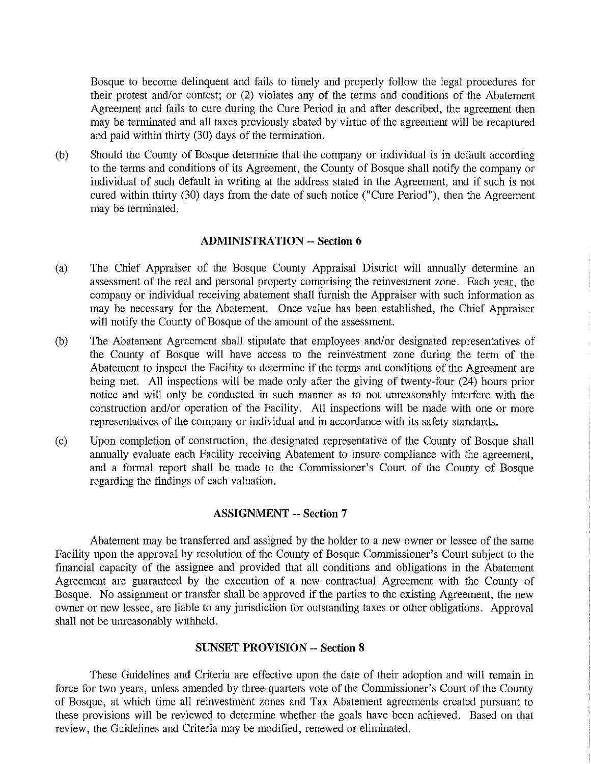Bosque to become delinquent and fails to timely and properly follow the legal procedures for their protest and/or contest; or (2) violates any of the terms and conditions of the Abatement Agreement and fails to cure during the Cure Period in and after described, the agreement then may be terminated and all taxes previously abated by virtue of the agreement will be recaptured and paid within thirty (30) days of the termination.

(b) Should the County of Bosque determine that the company or individual is in default according to the terms and conditions of its Agreement, the County of Bosque shall notify the company or individual of such default in writing at the address stated in the Agreement, and if such is not cured within thirty (30) days from the date of such notice ("Cure Period"), then the Agreement may be terminated.

#### **ADMINISTRATION -- Section 6**

- (a) The Chief Appraiser of the Bosque County Appraisal District will annually determine an assessment of the real and personal property comprising the reinvestment zone. Each year, the company or individual receiving abatement shall furnish the Appraiser with such information as may be necessary for the Abatement. Once value has been established, the Chief Appraiser will notify the County of Bosque of the amount of the assessment.
- (b) The Abatement Agreement shall stipulate that employees and/or designated representatives of the County of Bosque will have access to the reinvestment zone during the term of the Abatement to inspect the Facility to determine if the terms and conditions of the Agreement are being met. All inspections will be made only after the giving of twenty-four (24) hours prior notice and will only be conducted in such manner as to not unreasonably interfere with the construction and/or operation of the Facility. All inspections will be made with one or more representatives of the company or individual and in accordance with its safety standards.
- (c) Upon completion of construction, the designated representative of the County of Bosque shall annually evaluate each Facility receiving Abatement to insure compliance with the agreement, and a formal repott shall be made to the Commissioner's Court of the County of Bosque regarding the findings of each valuation.

### **ASSIGNMENT -- Section 7**

Abatement may be transferred and assigned by the holder to a new owner or lessee of the same Facility upon the approval by resolution of the County of Bosque Commissioner's Comt subject to the financial capacity of the assignee and provided that all conditions and obligations in the Abatement Agreement are guaranteed by the execution of a new contractual Agreement with the County of Bosque. No assignment or transfer shall be approved if the parties to the existing Agreement, the new owner or new lessee, are liable to any jurisdiction for outstanding taxes or other obligations. Approval shall not be unreasonably withheld.

#### **SUNSET PROVISION -- Section 8**

These Guidelines and Criteria are effective upon the date of their adoption and will remain in force for two years, unless amended by three-quarters vote of the Commissioner's Court of the County of Bosque, at which time all reinvestment zones and Tax Abatement agreements created pursuant to these provisions will be reviewed to determine whether the goals have been achieved. Based on that review, the Guidelines and Criteria may be modified, renewed or eliminated.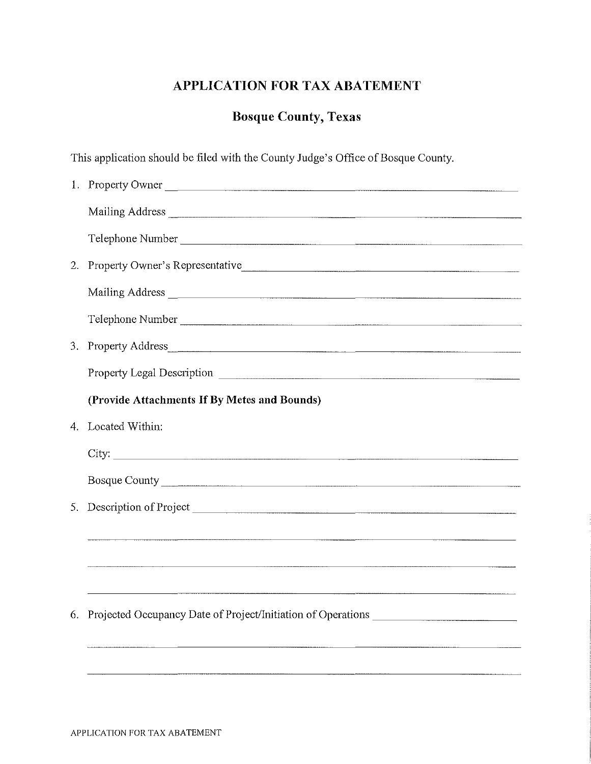## **APPLICATION FOR TAX ABATEMENT**

# **Bosque County, Texas**

This application should be filed with the County Judge's Office of Bosque County.

|    | 1. Property Owner                                                                 |
|----|-----------------------------------------------------------------------------------|
|    |                                                                                   |
|    | Telephone Number                                                                  |
| 2. | Property Owner's Representative                                                   |
|    |                                                                                   |
|    | Telephone Number                                                                  |
|    |                                                                                   |
|    |                                                                                   |
|    | (Provide Attachments If By Metes and Bounds)                                      |
| 4. | Located Within:                                                                   |
|    |                                                                                   |
|    | Bosque County                                                                     |
|    | 5. Description of Project                                                         |
|    |                                                                                   |
|    |                                                                                   |
|    |                                                                                   |
| 6. | Projected Occupancy Date of Project/Initiation of Operations ____________________ |
|    |                                                                                   |
|    |                                                                                   |